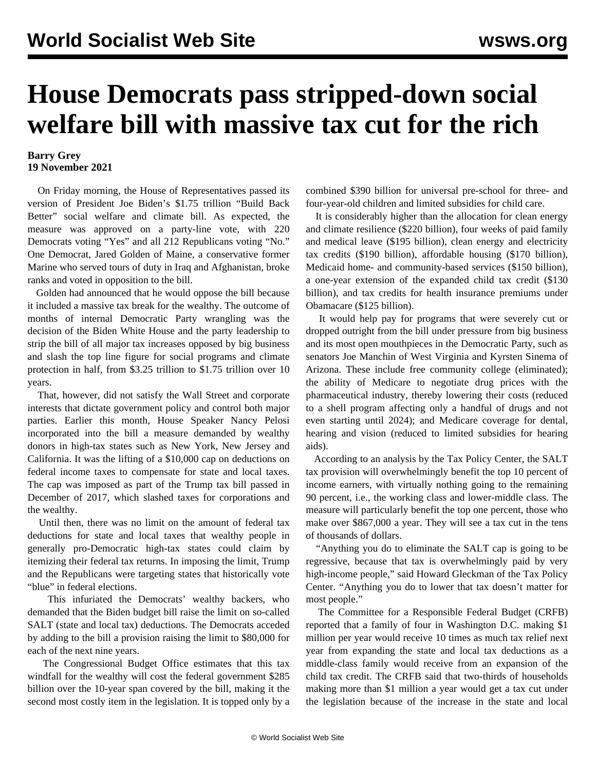## **House Democrats pass stripped-down social welfare bill with massive tax cut for the rich**

## **Barry Grey 19 November 2021**

 On Friday morning, the House of Representatives passed its version of President Joe Biden's \$1.75 trillion "Build Back Better" social welfare and climate bill. As expected, the measure was approved on a party-line vote, with 220 Democrats voting "Yes" and all 212 Republicans voting "No." One Democrat, Jared Golden of Maine, a conservative former Marine who served tours of duty in Iraq and Afghanistan, broke ranks and voted in opposition to the bill.

 Golden had announced that he would oppose the bill because it included a massive tax break for the wealthy. The outcome of months of internal Democratic Party wrangling was the decision of the Biden White House and the party leadership to strip the bill of all major tax increases opposed by big business and slash the top line figure for social programs and climate protection in half, from \$3.25 trillion to \$1.75 trillion over 10 years.

 That, however, did not satisfy the Wall Street and corporate interests that dictate government policy and control both major parties. Earlier this month, House Speaker Nancy Pelosi incorporated into the bill a measure demanded by wealthy donors in high-tax states such as New York, New Jersey and California. It was the lifting of a \$10,000 cap on deductions on federal income taxes to compensate for state and local taxes. The cap was imposed as part of the Trump tax bill passed in December of 2017, which slashed taxes for corporations and the wealthy.

 Until then, there was no limit on the amount of federal tax deductions for state and local taxes that wealthy people in generally pro-Democratic high-tax states could claim by itemizing their federal tax returns. In imposing the limit, Trump and the Republicans were targeting states that historically vote "blue" in federal elections.

 This infuriated the Democrats' wealthy backers, who demanded that the Biden budget bill raise the limit on so-called SALT (state and local tax) deductions. The Democrats acceded by adding to the bill a provision raising the limit to \$80,000 for each of the next nine years.

 The Congressional Budget Office estimates that this tax windfall for the wealthy will cost the federal government \$285 billion over the 10-year span covered by the bill, making it the second most costly item in the legislation. It is topped only by a

combined \$390 billion for universal pre-school for three- and four-year-old children and limited subsidies for child care.

 It is considerably higher than the allocation for clean energy and climate resilience (\$220 billion), four weeks of paid family and medical leave (\$195 billion), clean energy and electricity tax credits (\$190 billion), affordable housing (\$170 billion), Medicaid home- and community-based services (\$150 billion), a one-year extension of the expanded child tax credit (\$130 billion), and tax credits for health insurance premiums under Obamacare (\$125 billion).

 It would help pay for programs that were severely cut or dropped outright from the bill under pressure from big business and its most open mouthpieces in the Democratic Party, such as senators Joe Manchin of West Virginia and Kyrsten Sinema of Arizona. These include free community college (eliminated); the ability of Medicare to negotiate drug prices with the pharmaceutical industry, thereby lowering their costs (reduced to a shell program affecting only a handful of drugs and not even starting until 2024); and Medicare coverage for dental, hearing and vision (reduced to limited subsidies for hearing aids).

 According to an analysis by the Tax Policy Center, the SALT tax provision will overwhelmingly benefit the top 10 percent of income earners, with virtually nothing going to the remaining 90 percent, i.e., the working class and lower-middle class. The measure will particularly benefit the top one percent, those who make over \$867,000 a year. They will see a tax cut in the tens of thousands of dollars.

 "Anything you do to eliminate the SALT cap is going to be regressive, because that tax is overwhelmingly paid by very high-income people," said Howard Gleckman of the Tax Policy Center. "Anything you do to lower that tax doesn't matter for most people."

 The Committee for a Responsible Federal Budget (CRFB) reported that a family of four in Washington D.C. making \$1 million per year would receive 10 times as much tax relief next year from expanding the state and local tax deductions as a middle-class family would receive from an expansion of the child tax credit. The CRFB said that two-thirds of households making more than \$1 million a year would get a tax cut under the legislation because of the increase in the state and local